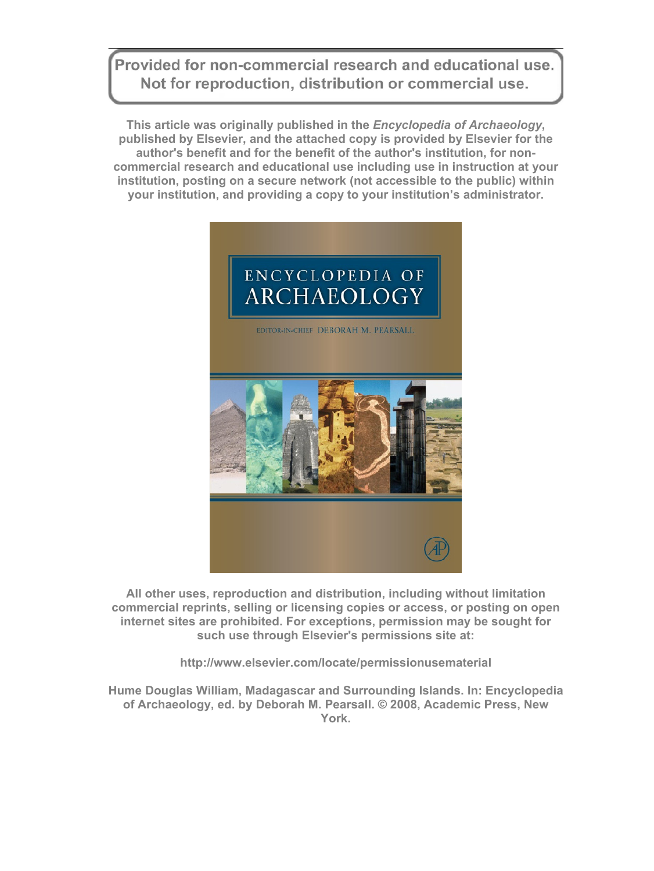Provided for non-commercial research and educational use. Not for reproduction, distribution or commercial use.

**This article was originally published in the** *Encyclopedia of Archaeology***, published by Elsevier, and the attached copy is provided by Elsevier for the author's benefit and for the benefit of the author's institution, for noncommercial research and educational use including use in instruction at your institution, posting on a secure network (not accessible to the public) within your institution, and providing a copy to your institution's administrator.** 



**All other uses, reproduction and distribution, including without limitation commercial reprints, selling or licensing copies or access, or posting on open internet sites are prohibited. For exceptions, permission may be sought for such use through Elsevier's permissions site at:** 

**http://www.elsevier.com/locate/permissionusematerial** 

**Hume Douglas William, Madagascar and Surrounding Islands. In: Encyclopedia of Archaeology, ed. by Deborah M. Pearsall. © 2008, Academic Press, New York.**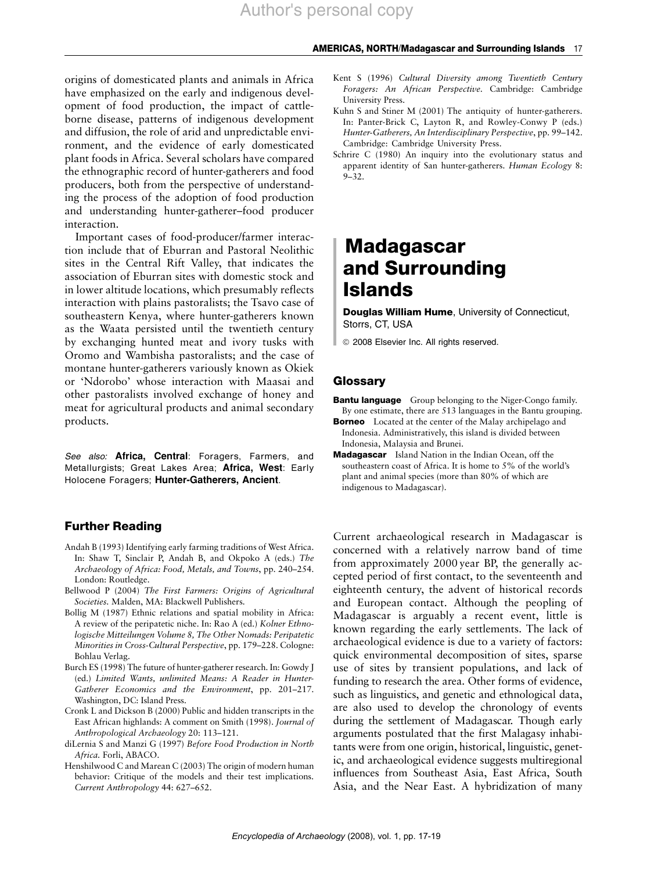origins of domesticated plants and animals in Africa have emphasized on the early and indigenous development of food production, the impact of cattleborne disease, patterns of indigenous development and diffusion, the role of arid and unpredictable environment, and the evidence of early domesticated plant foods in Africa. Several scholars have compared the ethnographic record of hunter-gatherers and food producers, both from the perspective of understanding the process of the adoption of food production and understanding hunter-gatherer–food producer interaction.

Important cases of food-producer/farmer interaction include that of Eburran and Pastoral Neolithic sites in the Central Rift Valley, that indicates the association of Eburran sites with domestic stock and in lower altitude locations, which presumably reflects interaction with plains pastoralists; the Tsavo case of southeastern Kenya, where hunter-gatherers known as the Waata persisted until the twentieth century by exchanging hunted meat and ivory tusks with Oromo and Wambisha pastoralists; and the case of montane hunter-gatherers variously known as Okiek or 'Ndorobo' whose interaction with Maasai and other pastoralists involved exchange of honey and meat for agricultural products and animal secondary products.

See also: Africa, Central: Foragers, Farmers, and Metallurgists; Great Lakes Area; Africa, West: Early Holocene Foragers; Hunter-Gatherers, Ancient.

### Further Reading

- Andah B (1993) Identifying early farming traditions of West Africa. In: Shaw T, Sinclair P, Andah B, and Okpoko A (eds.) The Archaeology of Africa: Food, Metals, and Towns, pp. 240–254. London: Routledge.
- Bellwood P (2004) The First Farmers: Origins of Agricultural Societies. Malden, MA: Blackwell Publishers.
- Bollig M (1987) Ethnic relations and spatial mobility in Africa: A review of the peripatetic niche. In: Rao A (ed.) Kolner Ethnologische Mitteilungen Volume 8, The Other Nomads: Peripatetic Minorities in Cross-Cultural Perspective, pp. 179–228. Cologne: Bohlau Verlag.
- Burch ES (1998) The future of hunter-gatherer research. In: Gowdy J (ed.) Limited Wants, unlimited Means: A Reader in Hunter-Gatherer Economics and the Environment, pp. 201–217. Washington, DC: Island Press.
- Cronk L and Dickson B (2000) Public and hidden transcripts in the East African highlands: A comment on Smith (1998). Journal of Anthropological Archaeology 20: 113–121.
- diLernia S and Manzi G (1997) Before Food Production in North Africa. Forli, ABACO.
- Henshilwood C and Marean C (2003) The origin of modern human behavior: Critique of the models and their test implications. Current Anthropology 44: 627–652.
- Kent S (1996) Cultural Diversity among Twentieth Century Foragers: An African Perspective. Cambridge: Cambridge University Press.
- Kuhn S and Stiner M (2001) The antiquity of hunter-gatherers. In: Panter-Brick C, Layton R, and Rowley-Conwy P (eds.) Hunter-Gatherers, An Interdisciplinary Perspective, pp. 99–142. Cambridge: Cambridge University Press.
- Schrire C (1980) An inquiry into the evolutionary status and apparent identity of San hunter-gatherers. Human Ecology 8:  $9 - 32$

# **Madagascar** and Surrounding Islands

Douglas William Hume, University of Connecticut, Storrs, CT, USA

ã 2008 Elsevier Inc. All rights reserved.

#### **Glossary**

- **Bantu language** Group belonging to the Niger-Congo family. By one estimate, there are 513 languages in the Bantu grouping.
- **Borneo** Located at the center of the Malay archipelago and Indonesia. Administratively, this island is divided between Indonesia, Malaysia and Brunei.
- Madagascar Island Nation in the Indian Ocean, off the southeastern coast of Africa. It is home to 5% of the world's plant and animal species (more than 80% of which are indigenous to Madagascar).

Current archaeological research in Madagascar is concerned with a relatively narrow band of time from approximately 2000 year BP, the generally accepted period of first contact, to the seventeenth and eighteenth century, the advent of historical records and European contact. Although the peopling of Madagascar is arguably a recent event, little is known regarding the early settlements. The lack of archaeological evidence is due to a variety of factors: quick environmental decomposition of sites, sparse use of sites by transient populations, and lack of funding to research the area. Other forms of evidence, such as linguistics, and genetic and ethnological data, are also used to develop the chronology of events during the settlement of Madagascar. Though early arguments postulated that the first Malagasy inhabitants were from one origin, historical, linguistic, genetic, and archaeological evidence suggests multiregional influences from Southeast Asia, East Africa, South Asia, and the Near East. A hybridization of many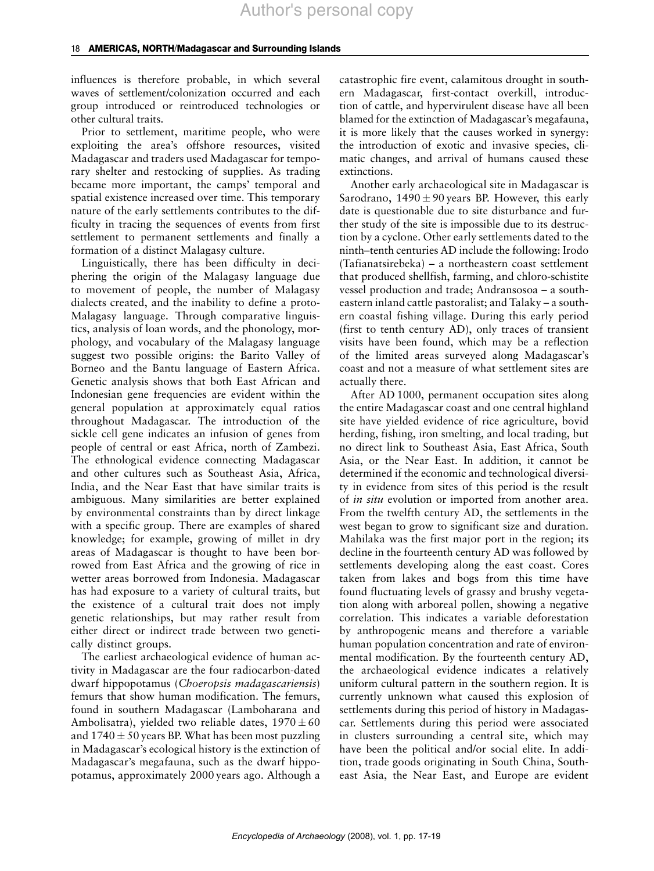influences is therefore probable, in which several waves of settlement/colonization occurred and each group introduced or reintroduced technologies or other cultural traits.

Prior to settlement, maritime people, who were exploiting the area's offshore resources, visited Madagascar and traders used Madagascar for temporary shelter and restocking of supplies. As trading became more important, the camps' temporal and spatial existence increased over time. This temporary nature of the early settlements contributes to the difficulty in tracing the sequences of events from first settlement to permanent settlements and finally a formation of a distinct Malagasy culture.

Linguistically, there has been difficulty in deciphering the origin of the Malagasy language due to movement of people, the number of Malagasy dialects created, and the inability to define a proto-Malagasy language. Through comparative linguistics, analysis of loan words, and the phonology, morphology, and vocabulary of the Malagasy language suggest two possible origins: the Barito Valley of Borneo and the Bantu language of Eastern Africa. Genetic analysis shows that both East African and Indonesian gene frequencies are evident within the general population at approximately equal ratios throughout Madagascar. The introduction of the sickle cell gene indicates an infusion of genes from people of central or east Africa, north of Zambezi. The ethnological evidence connecting Madagascar and other cultures such as Southeast Asia, Africa, India, and the Near East that have similar traits is ambiguous. Many similarities are better explained by environmental constraints than by direct linkage with a specific group. There are examples of shared knowledge; for example, growing of millet in dry areas of Madagascar is thought to have been borrowed from East Africa and the growing of rice in wetter areas borrowed from Indonesia. Madagascar has had exposure to a variety of cultural traits, but the existence of a cultural trait does not imply genetic relationships, but may rather result from either direct or indirect trade between two genetically distinct groups.

The earliest archaeological evidence of human activity in Madagascar are the four radiocarbon-dated dwarf hippopotamus (Choeropsis madagascariensis) femurs that show human modification. The femurs, found in southern Madagascar (Lamboharana and Ambolisatra), yielded two reliable dates,  $1970 \pm 60$ and  $1740 \pm 50$  years BP. What has been most puzzling in Madagascar's ecological history is the extinction of Madagascar's megafauna, such as the dwarf hippopotamus, approximately 2000 years ago. Although a

catastrophic fire event, calamitous drought in southern Madagascar, first-contact overkill, introduction of cattle, and hypervirulent disease have all been blamed for the extinction of Madagascar's megafauna, it is more likely that the causes worked in synergy: the introduction of exotic and invasive species, climatic changes, and arrival of humans caused these extinctions.

Another early archaeological site in Madagascar is Sarodrano,  $1490 \pm 90$  years BP. However, this early date is questionable due to site disturbance and further study of the site is impossible due to its destruction by a cyclone. Other early settlements dated to the ninth–tenth centuries AD include the following: Irodo (Tafianatsirebeka) – a northeastern coast settlement that produced shellfish, farming, and chloro-schistite vessel production and trade; Andransosoa – a southeastern inland cattle pastoralist; and Talaky – a southern coastal fishing village. During this early period (first to tenth century AD), only traces of transient visits have been found, which may be a reflection of the limited areas surveyed along Madagascar's coast and not a measure of what settlement sites are actually there.

After AD 1000, permanent occupation sites along the entire Madagascar coast and one central highland site have yielded evidence of rice agriculture, bovid herding, fishing, iron smelting, and local trading, but no direct link to Southeast Asia, East Africa, South Asia, or the Near East. In addition, it cannot be determined if the economic and technological diversity in evidence from sites of this period is the result of in situ evolution or imported from another area. From the twelfth century AD, the settlements in the west began to grow to significant size and duration. Mahilaka was the first major port in the region; its decline in the fourteenth century AD was followed by settlements developing along the east coast. Cores taken from lakes and bogs from this time have found fluctuating levels of grassy and brushy vegetation along with arboreal pollen, showing a negative correlation. This indicates a variable deforestation by anthropogenic means and therefore a variable human population concentration and rate of environmental modification. By the fourteenth century AD, the archaeological evidence indicates a relatively uniform cultural pattern in the southern region. It is currently unknown what caused this explosion of settlements during this period of history in Madagascar. Settlements during this period were associated in clusters surrounding a central site, which may have been the political and/or social elite. In addition, trade goods originating in South China, Southeast Asia, the Near East, and Europe are evident